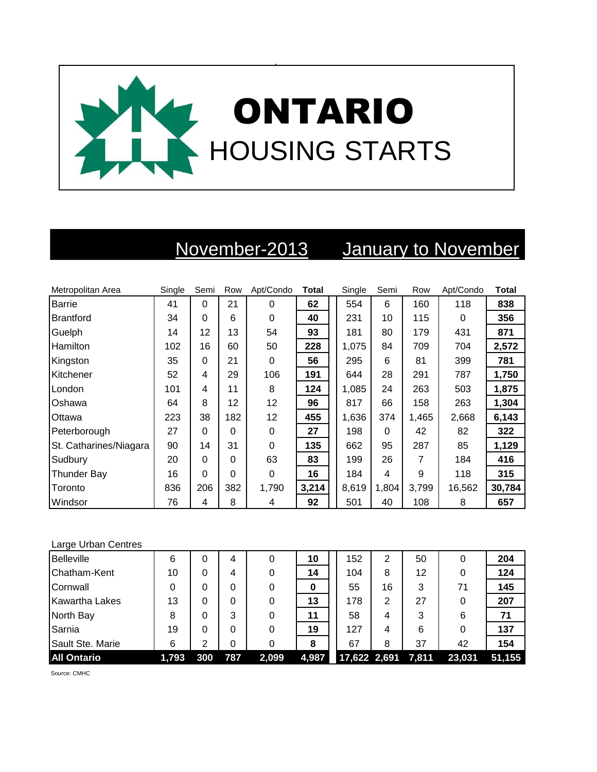

## November-2013 January to November

| Metropolitan Area      | Single | Semi     | Row      | Apt/Condo | <b>Total</b> | Single | Semi  | Row   | Apt/Condo | <b>Total</b> |
|------------------------|--------|----------|----------|-----------|--------------|--------|-------|-------|-----------|--------------|
| <b>Barrie</b>          | 41     | $\Omega$ | 21       | $\Omega$  | 62           | 554    | 6     | 160   | 118       | 838          |
| Brantford              | 34     | 0        | 6        | 0         | 40           | 231    | 10    | 115   | $\Omega$  | 356          |
| Guelph                 | 14     | 12       | 13       | 54        | 93           | 181    | 80    | 179   | 431       | 871          |
| Hamilton               | 102    | 16       | 60       | 50        | 228          | 1,075  | 84    | 709   | 704       | 2,572        |
| Kingston               | 35     | 0        | 21       | $\Omega$  | 56           | 295    | 6     | 81    | 399       | 781          |
| Kitchener              | 52     | 4        | 29       | 106       | 191          | 644    | 28    | 291   | 787       | 1,750        |
| London                 | 101    | 4        | 11       | 8         | 124          | 1,085  | 24    | 263   | 503       | 1,875        |
| Oshawa                 | 64     | 8        | 12       | 12        | 96           | 817    | 66    | 158   | 263       | 1,304        |
| Ottawa                 | 223    | 38       | 182      | 12        | 455          | 1,636  | 374   | 1,465 | 2,668     | 6,143        |
| Peterborough           | 27     | $\Omega$ | $\Omega$ | $\Omega$  | 27           | 198    | 0     | 42    | 82        | 322          |
| St. Catharines/Niagara | 90     | 14       | 31       | $\Omega$  | 135          | 662    | 95    | 287   | 85        | 1,129        |
| Sudbury                | 20     | 0        | $\Omega$ | 63        | 83           | 199    | 26    | 7     | 184       | 416          |
| <b>Thunder Bay</b>     | 16     | 0        | 0        | $\Omega$  | 16           | 184    | 4     | 9     | 118       | 315          |
| Toronto                | 836    | 206      | 382      | 1,790     | 3,214        | 8,619  | 1,804 | 3,799 | 16,562    | 30,784       |
| Windsor                | 76     | 4        | 8        | 4         | 92           | 501    | 40    | 108   | 8         | 657          |

## Large Urban Centres

| <b>Belleville</b>  | 6     |     | 4   |       | 10    | 152                | 2  | 50 |        | 204    |
|--------------------|-------|-----|-----|-------|-------|--------------------|----|----|--------|--------|
| Chatham-Kent       | 10    | 0   | 4   |       | 14    | 104                | 8  | 12 |        | 124    |
| Cornwall           |       | 0   | 0   |       | 0     | 55                 | 16 | 3  | 71     | 145    |
| Kawartha Lakes     | 13    | 0   | 0   |       | 13    | 178                | 2  | 27 |        | 207    |
| North Bay          | 8     | 0   | 3   |       | 11    | 58                 | 4  | 3  | 6      | 71     |
| Sarnia             | 19    | 0   | 0   |       | 19    | 127                | 4  | 6  |        | 137    |
| Sault Ste. Marie   | 6     | 2   | 0   |       | 8     | 67                 | 8  | 37 | 42     | 154    |
| <b>All Ontario</b> | 1,793 | 300 | 787 | 2,099 | 4,987 | 17,622 2,691 7,811 |    |    | 23,031 | 51,155 |

Source: CMHC